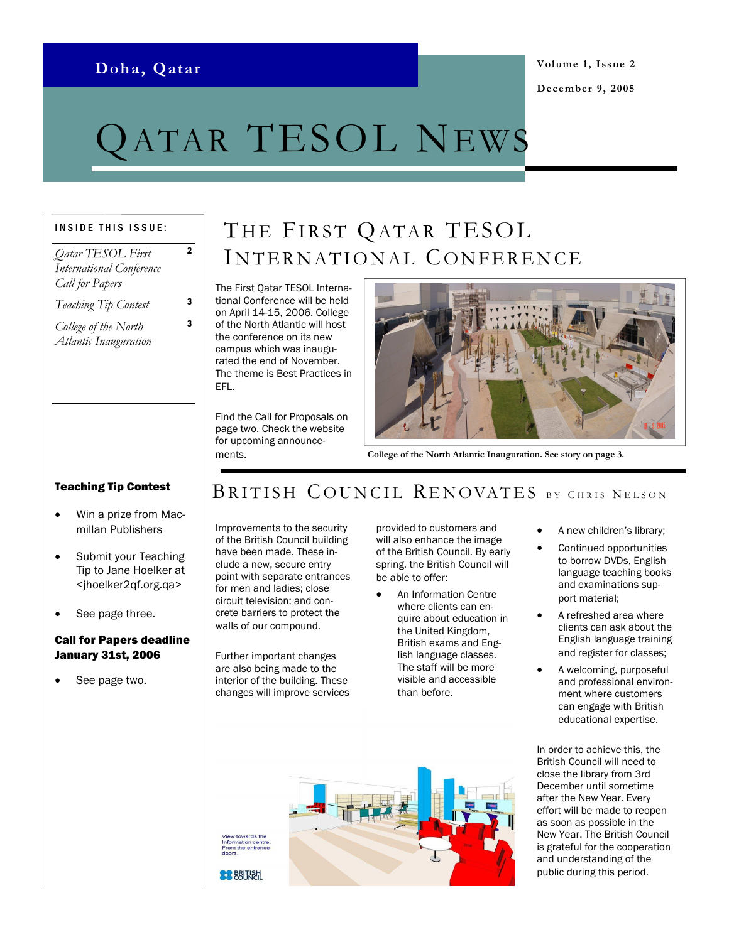### Doha, Qatar

2

3

# QATAR TESOL NEWS

#### INSIDE THIS ISSUE:

Qatar TESOL First International Conference Call for Papers

Teaching Tip Contest 3

College of the North Atlantic Inauguration

# THE FIRST QATAR TESOL INTERNATIONAL CONFERENCE

The First Qatar TESOL International Conference will be held on April 14-15, 2006. College of the North Atlantic will host the conference on its new campus which was inaugurated the end of November. The theme is Best Practices in EFL.

Find the Call for Proposals on page two. Check the website for upcoming announcements.



College of the North Atlantic Inauguration. See story on page 3.

#### Teaching Tip Contest

- Win a prize from Macmillan Publishers
- Submit your Teaching Tip to Jane Hoelker at <jhoelker2qf.org.qa>
- See page three.

#### Call for Papers deadline January 31st, 2006

See page two.

# BRITISH COUNCIL RENOVATES BY CHRIS NELSON

Improvements to the security of the British Council building have been made. These include a new, secure entry point with separate entrances for men and ladies; close circuit television; and concrete barriers to protect the walls of our compound.

Further important changes are also being made to the interior of the building. These changes will improve services provided to customers and will also enhance the image of the British Council. By early spring, the British Council will be able to offer:

- An Information Centre where clients can enquire about education in the United Kingdom, British exams and English language classes. The staff will be more visible and accessible than before.
- **BRITISH**
- A new children's library;
- Continued opportunities to borrow DVDs, English language teaching books and examinations support material;
- A refreshed area where clients can ask about the English language training and register for classes;
- A welcoming, purposeful and professional environment where customers can engage with British educational expertise.

In order to achieve this, the British Council will need to close the library from 3rd December until sometime after the New Year. Every effort will be made to reopen as soon as possible in the New Year. The British Council is grateful for the cooperation and understanding of the public during this period.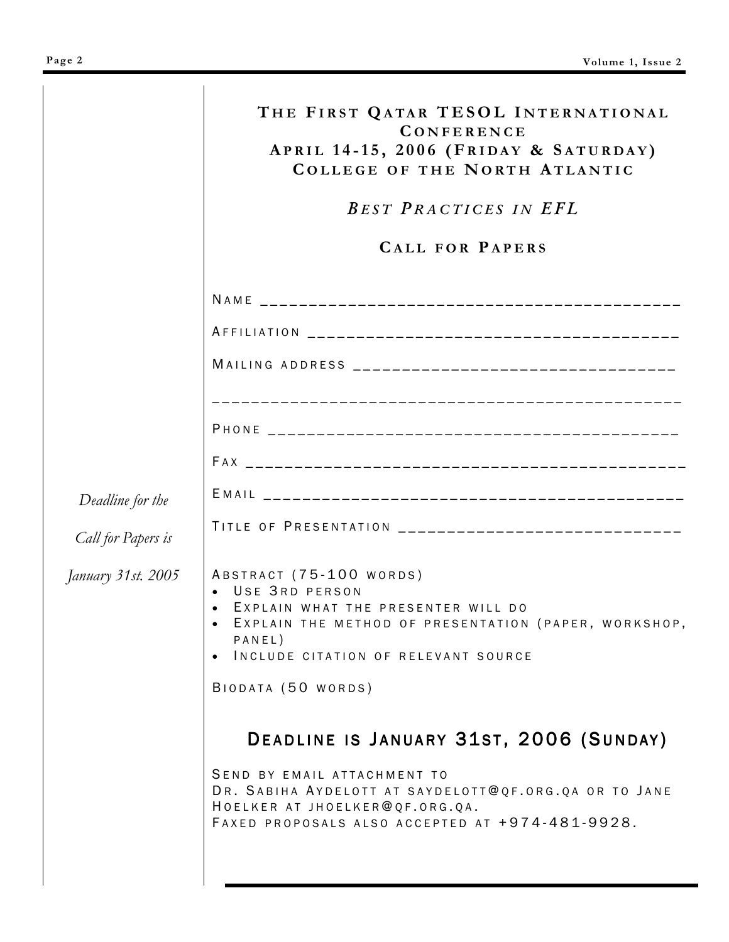| Deadline for the<br>Call for Papers is<br>January 31st. 2005 | THE FIRST QATAR TESOL INTERNATIONAL<br><b>CONFERENCE</b><br>APRIL 14-15, 2006 (FRIDAY & SATURDAY)<br><b>COLLEGE OF THE NORTH ATLANTIC</b><br><b>BEST PRACTICES IN EFL</b><br><b>CALL FOR PAPERS</b> |
|--------------------------------------------------------------|-----------------------------------------------------------------------------------------------------------------------------------------------------------------------------------------------------|
|                                                              |                                                                                                                                                                                                     |
|                                                              |                                                                                                                                                                                                     |
|                                                              |                                                                                                                                                                                                     |
|                                                              |                                                                                                                                                                                                     |
|                                                              |                                                                                                                                                                                                     |
|                                                              |                                                                                                                                                                                                     |
|                                                              | TITLE OF PRESENTATION _________________________________                                                                                                                                             |
|                                                              | ABSTRACT (75-100 WORDS)<br>USE 3RD PERSON<br>EXPLAIN WHAT THE PRESENTER WILL DO<br>EXPLAIN THE METHOD OF PRESENTATION (PAPER, WORKSHOP,<br>PANEL)<br>INCLUDE CITATION OF RELEVANT SOURCE            |
|                                                              | BIODATA (50 WORDS)<br>DEADLINE IS JANUARY 31ST, 2006 (SUNDAY)                                                                                                                                       |
|                                                              | SEND BY EMAIL ATTACHMENT TO<br>DR. SABIHA AYDELOTT AT SAYDELOTT@QF.ORG.QA OR TO JANE<br>HOELKER AT JHOELKER@QF.ORG.QA.<br>FAXED PROPOSALS ALSO ACCEPTED AT +974-481-9928.                           |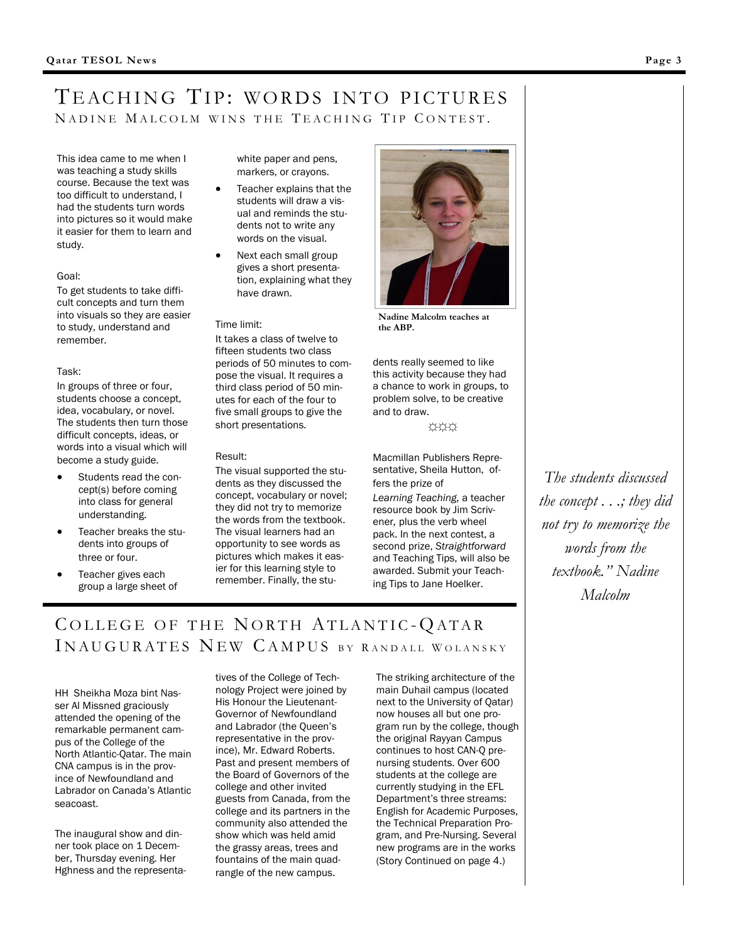### TEACHING TIP: WORDS INTO PICTURES NADINE MALCOLM WINS THE TEACHING TIP CONTEST.

This idea came to me when I was teaching a study skills course. Because the text was too difficult to understand, I had the students turn words into pictures so it would make it easier for them to learn and study.

#### Goal:

To get students to take difficult concepts and turn them into visuals so they are easier to study, understand and remember.

#### Task:

In groups of three or four, students choose a concept, idea, vocabulary, or novel. The students then turn those difficult concepts, ideas, or words into a visual which will become a study guide.

- Students read the concept(s) before coming into class for general understanding.
- Teacher breaks the students into groups of three or four.
- Teacher gives each group a large sheet of

white paper and pens, markers, or crayons.

- Teacher explains that the students will draw a visual and reminds the students not to write any words on the visual.
- Next each small group gives a short presentation, explaining what they have drawn.

#### Time limit:

It takes a class of twelve to fifteen students two class periods of 50 minutes to compose the visual. It requires a third class period of 50 minutes for each of the four to five small groups to give the short presentations.

#### Result:

The visual supported the students as they discussed the concept, vocabulary or novel; they did not try to memorize the words from the textbook. The visual learners had an opportunity to see words as pictures which makes it easier for this learning style to remember. Finally, the stu-



Nadine Malcolm teaches at the ABP.

dents really seemed to like this activity because they had a chance to work in groups, to problem solve, to be creative and to draw.

☼☼☼

Macmillan Publishers Representative, Sheila Hutton, offers the prize of

Learning Teaching, a teacher resource book by Jim Scrivener, plus the verb wheel pack. In the next contest, a second prize, Straightforward and Teaching Tips, will also be awarded. Submit your Teaching Tips to Jane Hoelker.

The students discussed the concept . . .; they did not try to memorize the words from the textbook." Nadine Malcolm

# COLLEGE OF THE NORTH ATLANTIC-QATAR IN AUGURATES NEW CAMPUS BY RANDALL WOLANSKY

HH Sheikha Moza bint Nasser Al Missned graciously attended the opening of the remarkable permanent campus of the College of the North Atlantic-Qatar. The main CNA campus is in the province of Newfoundland and Labrador on Canada's Atlantic seacoast.

The inaugural show and dinner took place on 1 December, Thursday evening. Her Hghness and the representatives of the College of Technology Project were joined by His Honour the Lieutenant-Governor of Newfoundland and Labrador (the Queen's representative in the province), Mr. Edward Roberts. Past and present members of the Board of Governors of the college and other invited guests from Canada, from the college and its partners in the community also attended the show which was held amid the grassy areas, trees and fountains of the main quadrangle of the new campus.

The striking architecture of the main Duhail campus (located next to the University of Qatar) now houses all but one program run by the college, though the original Rayyan Campus continues to host CAN-Q prenursing students. Over 600 students at the college are currently studying in the EFL Department's three streams: English for Academic Purposes, the Technical Preparation Program, and Pre-Nursing. Several new programs are in the works (Story Continued on page 4.)